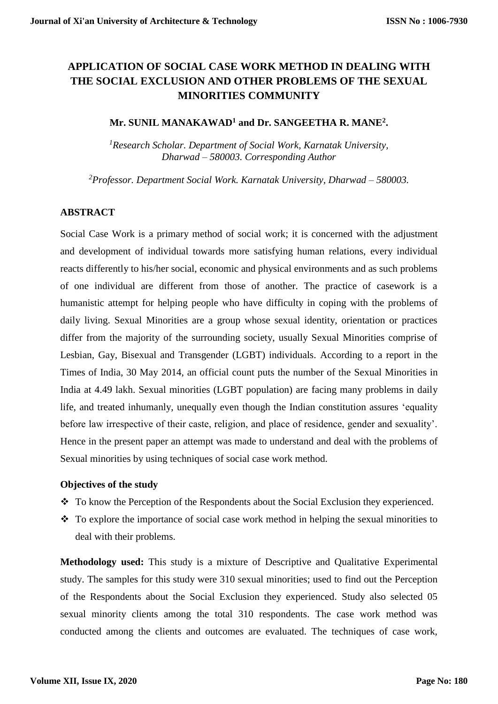# **APPLICATION OF SOCIAL CASE WORK METHOD IN DEALING WITH THE SOCIAL EXCLUSION AND OTHER PROBLEMS OF THE SEXUAL MINORITIES COMMUNITY**

### **Mr. SUNIL MANAKAWAD<sup>1</sup> and Dr. SANGEETHA R. MANE<sup>2</sup> .**

*<sup>1</sup>Research Scholar. Department of Social Work, Karnatak University, Dharwad – 580003. Corresponding Author*

*<sup>2</sup>Professor. Department Social Work. Karnatak University, Dharwad – 580003.* 

### **ABSTRACT**

Social Case Work is a primary method of social work; it is concerned with the adjustment and development of individual towards more satisfying human relations, every individual reacts differently to his/her social, economic and physical environments and as such problems of one individual are different from those of another. The practice of casework is a humanistic attempt for helping people who have difficulty in coping with the problems of daily living. Sexual Minorities are a group whose sexual identity, orientation or practices differ from the majority of the surrounding society, usually Sexual Minorities comprise of Lesbian, Gay, Bisexual and Transgender (LGBT) individuals. According to a report in the Times of India, 30 May 2014, an official count puts the number of the Sexual Minorities in India at 4.49 lakh. Sexual minorities (LGBT population) are facing many problems in daily life, and treated inhumanly, unequally even though the Indian constitution assures 'equality before law irrespective of their caste, religion, and place of residence, gender and sexuality'. Hence in the present paper an attempt was made to understand and deal with the problems of Sexual minorities by using techniques of social case work method.

### **Objectives of the study**

- $\bullet$  To know the Perception of the Respondents about the Social Exclusion they experienced.
- $\cdot$  To explore the importance of social case work method in helping the sexual minorities to deal with their problems.

**Methodology used:** This study is a mixture of Descriptive and Qualitative Experimental study. The samples for this study were 310 sexual minorities; used to find out the Perception of the Respondents about the Social Exclusion they experienced. Study also selected 05 sexual minority clients among the total 310 respondents. The case work method was conducted among the clients and outcomes are evaluated. The techniques of case work,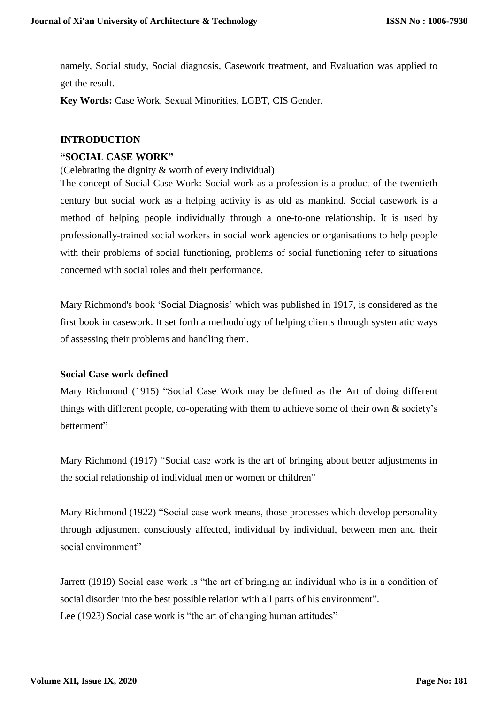namely, Social study, Social diagnosis, Casework treatment, and Evaluation was applied to get the result.

**Key Words:** Case Work, Sexual Minorities, LGBT, CIS Gender.

### **INTRODUCTION**

### **"SOCIAL CASE WORK"**

(Celebrating the dignity & worth of every individual)

The concept of Social Case Work: Social work as a profession is a product of the twentieth century but social work as a helping activity is as old as mankind. Social casework is a method of helping people individually through a one-to-one relationship. It is used by professionally-trained social workers in social work agencies or organisations to help people with their problems of social functioning, problems of social functioning refer to situations concerned with social roles and their performance.

Mary Richmond's book 'Social Diagnosis' which was published in 1917, is considered as the first book in casework. It set forth a methodology of helping clients through systematic ways of assessing their problems and handling them.

### **Social Case work defined**

Mary Richmond (1915) "Social Case Work may be defined as the Art of doing different things with different people, co-operating with them to achieve some of their own & society's betterment"

Mary Richmond (1917) "Social case work is the art of bringing about better adjustments in the social relationship of individual men or women or children"

Mary Richmond (1922) "Social case work means, those processes which develop personality through adjustment consciously affected, individual by individual, between men and their social environment"

Jarrett (1919) Social case work is "the art of bringing an individual who is in a condition of social disorder into the best possible relation with all parts of his environment". Lee (1923) Social case work is "the art of changing human attitudes"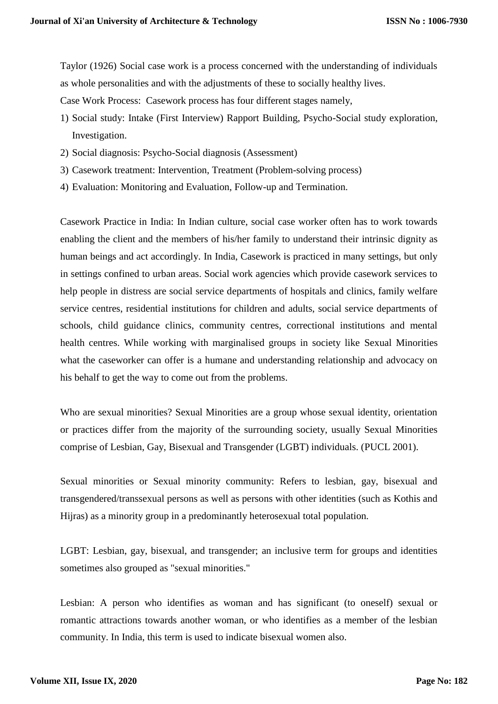Taylor (1926) Social case work is a process concerned with the understanding of individuals as whole personalities and with the adjustments of these to socially healthy lives.

Case Work Process: Casework process has four different stages namely,

- 1) Social study: Intake (First Interview) Rapport Building, Psycho-Social study exploration, Investigation.
- 2) Social diagnosis: Psycho-Social diagnosis (Assessment)
- 3) Casework treatment: Intervention, Treatment (Problem-solving process)
- 4) Evaluation: Monitoring and Evaluation, Follow-up and Termination.

Casework Practice in India: In Indian culture, social case worker often has to work towards enabling the client and the members of his/her family to understand their intrinsic dignity as human beings and act accordingly. In India, Casework is practiced in many settings, but only in settings confined to urban areas. Social work agencies which provide casework services to help people in distress are social service departments of hospitals and clinics, family welfare service centres, residential institutions for children and adults, social service departments of schools, child guidance clinics, community centres, correctional institutions and mental health centres. While working with marginalised groups in society like Sexual Minorities what the caseworker can offer is a humane and understanding relationship and advocacy on his behalf to get the way to come out from the problems.

Who are sexual minorities? Sexual Minorities are a group whose sexual identity, orientation or practices differ from the majority of the surrounding society, usually Sexual Minorities comprise of Lesbian, Gay, Bisexual and Transgender (LGBT) individuals. (PUCL 2001).

Sexual minorities or Sexual minority community: Refers to lesbian, gay, bisexual and transgendered/transsexual persons as well as persons with other identities (such as Kothis and Hijras) as a minority group in a predominantly heterosexual total population.

LGBT: Lesbian, gay, bisexual, and transgender; an inclusive term for groups and identities sometimes also grouped as "sexual minorities."

Lesbian: A person who identifies as woman and has significant (to oneself) sexual or romantic attractions towards another woman, or who identifies as a member of the lesbian community. In India, this term is used to indicate bisexual women also.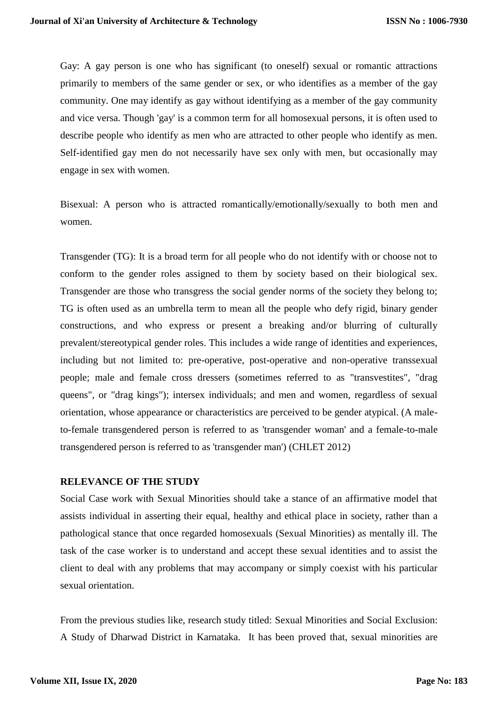Gay: A gay person is one who has significant (to oneself) sexual or romantic attractions primarily to members of the same gender or sex, or who identifies as a member of the gay community. One may identify as gay without identifying as a member of the gay community and vice versa. Though 'gay' is a common term for all homosexual persons, it is often used to describe people who identify as men who are attracted to other people who identify as men. Self-identified gay men do not necessarily have sex only with men, but occasionally may engage in sex with women.

Bisexual: A person who is attracted romantically/emotionally/sexually to both men and women.

Transgender (TG): It is a broad term for all people who do not identify with or choose not to conform to the gender roles assigned to them by society based on their biological sex. Transgender are those who transgress the social gender norms of the society they belong to; TG is often used as an umbrella term to mean all the people who defy rigid, binary gender constructions, and who express or present a breaking and/or blurring of culturally prevalent/stereotypical gender roles. This includes a wide range of identities and experiences, including but not limited to: pre-operative, post-operative and non-operative transsexual people; male and female cross dressers (sometimes referred to as "transvestites", "drag queens", or "drag kings"); intersex individuals; and men and women, regardless of sexual orientation, whose appearance or characteristics are perceived to be gender atypical. (A maleto-female transgendered person is referred to as 'transgender woman' and a female-to-male transgendered person is referred to as 'transgender man') (CHLET 2012)

#### **RELEVANCE OF THE STUDY**

Social Case work with Sexual Minorities should take a stance of an affirmative model that assists individual in asserting their equal, healthy and ethical place in society, rather than a pathological stance that once regarded homosexuals (Sexual Minorities) as mentally ill. The task of the case worker is to understand and accept these sexual identities and to assist the client to deal with any problems that may accompany or simply coexist with his particular sexual orientation.

From the previous studies like, research study titled: Sexual Minorities and Social Exclusion: A Study of Dharwad District in Karnataka. It has been proved that, sexual minorities are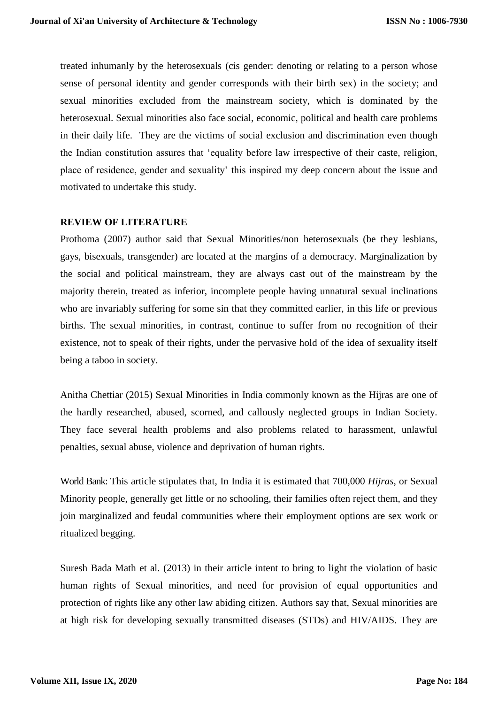treated inhumanly by the heterosexuals (cis gender: denoting or relating to a person whose sense of personal identity and gender corresponds with their birth sex) in the society; and sexual minorities excluded from the mainstream society, which is dominated by the heterosexual. Sexual minorities also face social, economic, political and health care problems in their daily life. They are the victims of social exclusion and discrimination even though the Indian constitution assures that 'equality before law irrespective of their caste, religion, place of residence, gender and sexuality' this inspired my deep concern about the issue and motivated to undertake this study.

#### **REVIEW OF LITERATURE**

Prothoma (2007) author said that Sexual Minorities/non heterosexuals (be they lesbians, gays, bisexuals, transgender) are located at the margins of a democracy. Marginalization by the social and political mainstream, they are always cast out of the mainstream by the majority therein, treated as inferior, incomplete people having unnatural sexual inclinations who are invariably suffering for some sin that they committed earlier, in this life or previous births. The sexual minorities, in contrast, continue to suffer from no recognition of their existence, not to speak of their rights, under the pervasive hold of the idea of sexuality itself being a taboo in society.

Anitha Chettiar (2015) Sexual Minorities in India commonly known as the Hijras are one of the hardly researched, abused, scorned, and callously neglected groups in Indian Society. They face several health problems and also problems related to harassment, unlawful penalties, sexual abuse, violence and deprivation of human rights.

World Bank: This article stipulates that, In India it is estimated that 700,000 *Hijras*, or Sexual Minority people, generally get little or no schooling, their families often reject them, and they join marginalized and feudal communities where their employment options are sex work or ritualized begging.

[Suresh Bada Math](http://www.ncbi.nlm.nih.gov/pubmed/?term=Math%20SB%5Bauth%5D) et al. (2013) in their article intent to bring to light the violation of basic human rights of Sexual minorities, and need for provision of equal opportunities and protection of rights like any other law abiding citizen. Authors say that, Sexual minorities are at high risk for developing sexually transmitted diseases (STDs) and HIV/AIDS. They are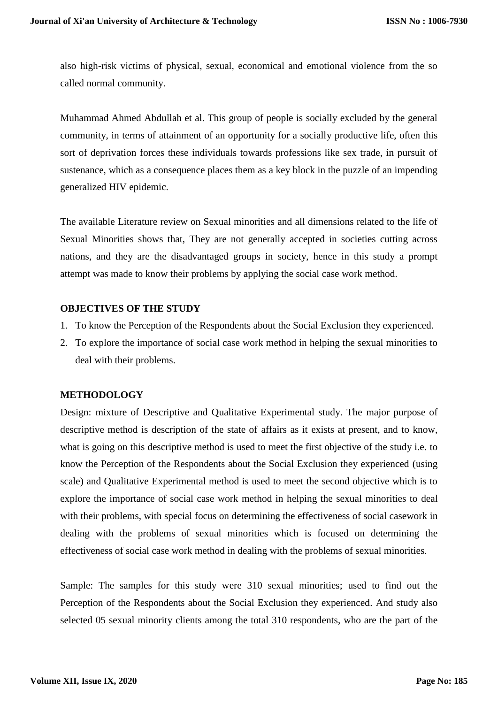also high-risk victims of physical, sexual, economical and emotional violence from the so called normal community.

Muhammad Ahmed Abdullah et al. This group of people is socially excluded by the general community, in terms of attainment of an opportunity for a socially productive life, often this sort of deprivation forces these individuals towards professions like sex trade, in pursuit of sustenance, which as a consequence places them as a key block in the puzzle of an impending generalized HIV epidemic.

The available Literature review on Sexual minorities and all dimensions related to the life of Sexual Minorities shows that, They are not generally accepted in societies cutting across nations, and they are the disadvantaged groups in society, hence in this study a prompt attempt was made to know their problems by applying the social case work method.

### **OBJECTIVES OF THE STUDY**

- 1. To know the Perception of the Respondents about the Social Exclusion they experienced.
- 2. To explore the importance of social case work method in helping the sexual minorities to deal with their problems.

# **METHODOLOGY**

Design: mixture of Descriptive and Qualitative Experimental study. The major purpose of descriptive method is description of the state of affairs as it exists at present, and to know, what is going on this descriptive method is used to meet the first objective of the study i.e. to know the Perception of the Respondents about the Social Exclusion they experienced (using scale) and Qualitative Experimental method is used to meet the second objective which is to explore the importance of social case work method in helping the sexual minorities to deal with their problems, with special focus on determining the effectiveness of social casework in dealing with the problems of sexual minorities which is focused on determining the effectiveness of social case work method in dealing with the problems of sexual minorities.

Sample: The samples for this study were 310 sexual minorities; used to find out the Perception of the Respondents about the Social Exclusion they experienced. And study also selected 05 sexual minority clients among the total 310 respondents, who are the part of the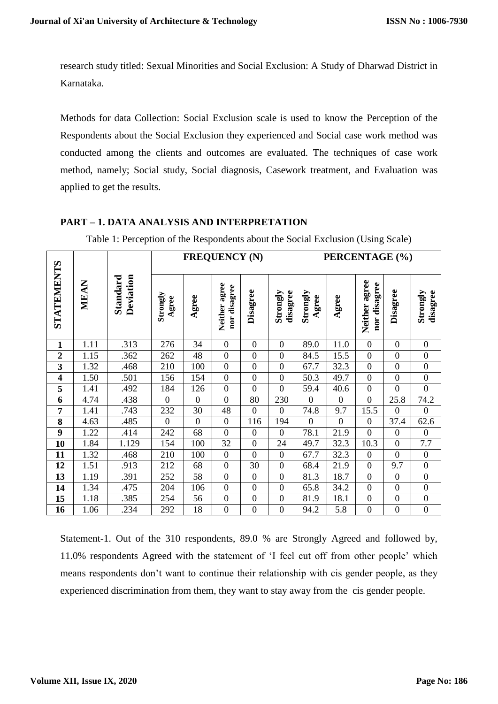research study titled: Sexual Minorities and Social Exclusion: A Study of Dharwad District in Karnataka.

Methods for data Collection: Social Exclusion scale is used to know the Perception of the Respondents about the Social Exclusion they experienced and Social case work method was conducted among the clients and outcomes are evaluated. The techniques of case work method, namely; Social study, Social diagnosis, Casework treatment, and Evaluation was applied to get the results.

# **PART – 1. DATA ANALYSIS AND INTERPRETATION**

|  | Table 1: Perception of the Respondents about the Social Exclusion (Using Scale) |  |  |
|--|---------------------------------------------------------------------------------|--|--|
|  |                                                                                 |  |  |

|                                                                                                                                                                                 |                                                                                                                                                                                         |                       | <b>FREQUENCY (N)</b> |                  |                               |                  | PERCENTAGE (%)       |                   |                |                               |                  |                      |
|---------------------------------------------------------------------------------------------------------------------------------------------------------------------------------|-----------------------------------------------------------------------------------------------------------------------------------------------------------------------------------------|-----------------------|----------------------|------------------|-------------------------------|------------------|----------------------|-------------------|----------------|-------------------------------|------------------|----------------------|
| STATEMENTS                                                                                                                                                                      | MEAN                                                                                                                                                                                    | Deviation<br>Standard | Strongly<br>Agree    | Agree            | Neither agree<br>nor disagree | Disagree         | disagree<br>Strongly | Strongly<br>Agree | Agree          | Neither agree<br>nor disagree | Disagree         | Strongly<br>disagree |
| $\mathbf{1}$                                                                                                                                                                    | 1.11                                                                                                                                                                                    | .313                  | 276                  | 34               | $\boldsymbol{0}$              | $\boldsymbol{0}$ | $\boldsymbol{0}$     | 89.0              | 11.0           | $\boldsymbol{0}$              | $\boldsymbol{0}$ | $\boldsymbol{0}$     |
| $\boldsymbol{2}$                                                                                                                                                                | 1.15                                                                                                                                                                                    | .362                  | 262                  | 48               | $\overline{0}$                | $\boldsymbol{0}$ | $\mathbf{0}$         | 84.5              | 15.5           | $\boldsymbol{0}$              | $\boldsymbol{0}$ | $\boldsymbol{0}$     |
| $\mathbf{3}$                                                                                                                                                                    | 1.32                                                                                                                                                                                    | .468                  | 210                  | 100              | $\overline{0}$                | $\overline{0}$   | $\overline{0}$       | 67.7              | 32.3           | $\boldsymbol{0}$              | $\overline{0}$   | $\boldsymbol{0}$     |
| $\overline{\mathbf{4}}$                                                                                                                                                         | 1.50                                                                                                                                                                                    | .501                  | 156                  | 154              | $\boldsymbol{0}$              | $\boldsymbol{0}$ | $\boldsymbol{0}$     | 50.3              | 49.7           | $\boldsymbol{0}$              | $\boldsymbol{0}$ | $\boldsymbol{0}$     |
| $\overline{\mathbf{5}}$                                                                                                                                                         | 1.41                                                                                                                                                                                    | .492                  | 184                  | 126              | $\boldsymbol{0}$              | $\overline{0}$   | $\overline{0}$       | 59.4              | 40.6           | $\boldsymbol{0}$              | $\overline{0}$   | $\overline{0}$       |
| $\overline{6}$                                                                                                                                                                  | 4.74                                                                                                                                                                                    | .438                  | $\overline{0}$       | $\boldsymbol{0}$ | $\overline{0}$                | 80               | 230                  | $\overline{0}$    | $\overline{0}$ | $\boldsymbol{0}$              | 25.8             | 74.2                 |
| $\overline{7}$                                                                                                                                                                  | 1.41                                                                                                                                                                                    | .743                  | 232                  | 30               | 48                            | $\boldsymbol{0}$ | $\Omega$             | 74.8              | 9.7            | 15.5                          | $\mathbf{0}$     | $\boldsymbol{0}$     |
| 8                                                                                                                                                                               | 4.63                                                                                                                                                                                    | .485                  | $\boldsymbol{0}$     | $\overline{0}$   | $\overline{0}$                | 116              | 194                  | $\boldsymbol{0}$  | $\overline{0}$ | $\boldsymbol{0}$              | 37.4             | 62.6                 |
| $\boldsymbol{9}$                                                                                                                                                                | 1.22                                                                                                                                                                                    | .414                  | 242                  | 68               | $\boldsymbol{0}$              | $\boldsymbol{0}$ | $\boldsymbol{0}$     | 78.1              | 21.9           | $\overline{0}$                | $\boldsymbol{0}$ | $\boldsymbol{0}$     |
| 10                                                                                                                                                                              | 1.84                                                                                                                                                                                    | 1.129                 | 154                  | 100              | 32                            | $\boldsymbol{0}$ | 24                   | 49.7              | 32.3           | 10.3                          | $\boldsymbol{0}$ | $7.7\,$              |
| 11                                                                                                                                                                              | 1.32                                                                                                                                                                                    | .468                  | 210                  | 100              | $\boldsymbol{0}$              | $\overline{0}$   | $\overline{0}$       | 67.7              | 32.3           | $\boldsymbol{0}$              | $\overline{0}$   | $\boldsymbol{0}$     |
| 12                                                                                                                                                                              | 1.51                                                                                                                                                                                    | .913                  | 212                  | 68               | $\boldsymbol{0}$              | 30               | $\boldsymbol{0}$     | 68.4              | 21.9           | $\boldsymbol{0}$              | 9.7              | $\boldsymbol{0}$     |
| 13                                                                                                                                                                              | 1.19                                                                                                                                                                                    | .391                  | 252                  | 58               | $\overline{0}$                | $\boldsymbol{0}$ | $\mathbf{0}$         | 81.3              | 18.7           | $\boldsymbol{0}$              | $\boldsymbol{0}$ | $\boldsymbol{0}$     |
| 14                                                                                                                                                                              | 1.34                                                                                                                                                                                    | .475                  | 204                  | 106              | $\boldsymbol{0}$              | $\overline{0}$   | $\overline{0}$       | 65.8              | 34.2           | $\mathbf{0}$                  | $\boldsymbol{0}$ | $\boldsymbol{0}$     |
| 15                                                                                                                                                                              | 1.18                                                                                                                                                                                    | .385                  | 254                  | 56               | $\boldsymbol{0}$              | $\boldsymbol{0}$ | $\boldsymbol{0}$     | 81.9              | 18.1           | $\boldsymbol{0}$              | $\boldsymbol{0}$ | $\boldsymbol{0}$     |
| 16                                                                                                                                                                              | 1.06                                                                                                                                                                                    | .234                  | 292                  | 18               | $\overline{0}$                | $\overline{0}$   | $\overline{0}$       | 94.2              | 5.8            | $\overline{0}$                | $\overline{0}$   | $\overline{0}$       |
| Statement-1. Out of the 310 respondents, 89.0 % are Strongly Agreed and followed by,<br>11.0% respondents Agreed with the statement of 'I feel cut off from other people' which |                                                                                                                                                                                         |                       |                      |                  |                               |                  |                      |                   |                |                               |                  |                      |
|                                                                                                                                                                                 | means respondents don't want to continue their relationship with cis gender people, as they<br>experienced discrimination from them, they want to stay away from the cis gender people. |                       |                      |                  |                               |                  |                      |                   |                |                               |                  |                      |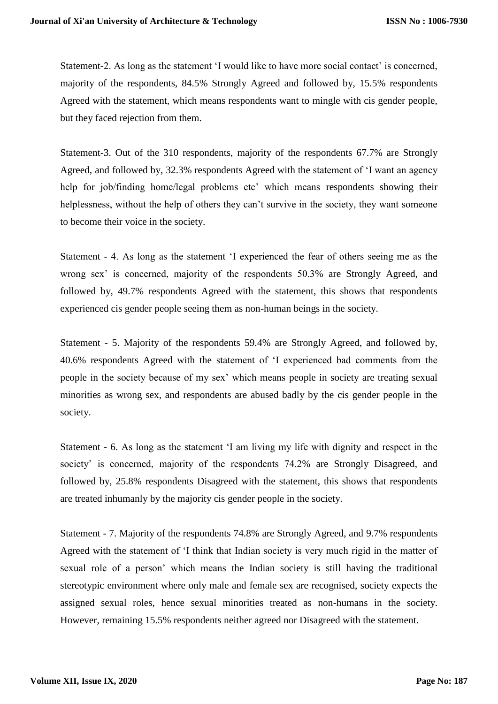Statement-2. As long as the statement 'I would like to have more social contact' is concerned, majority of the respondents, 84.5% Strongly Agreed and followed by, 15.5% respondents Agreed with the statement, which means respondents want to mingle with cis gender people, but they faced rejection from them.

Statement-3. Out of the 310 respondents, majority of the respondents 67.7% are Strongly Agreed, and followed by, 32.3% respondents Agreed with the statement of 'I want an agency help for job/finding home/legal problems etc' which means respondents showing their helplessness, without the help of others they can't survive in the society, they want someone to become their voice in the society.

Statement - 4. As long as the statement 'I experienced the fear of others seeing me as the wrong sex' is concerned, majority of the respondents 50.3% are Strongly Agreed, and followed by, 49.7% respondents Agreed with the statement, this shows that respondents experienced cis gender people seeing them as non-human beings in the society.

Statement - 5. Majority of the respondents 59.4% are Strongly Agreed, and followed by, 40.6% respondents Agreed with the statement of 'I experienced bad comments from the people in the society because of my sex' which means people in society are treating sexual minorities as wrong sex, and respondents are abused badly by the cis gender people in the society.

Statement - 6. As long as the statement 'I am living my life with dignity and respect in the society' is concerned, majority of the respondents 74.2% are Strongly Disagreed, and followed by, 25.8% respondents Disagreed with the statement, this shows that respondents are treated inhumanly by the majority cis gender people in the society.

Statement - 7. Majority of the respondents 74.8% are Strongly Agreed, and 9.7% respondents Agreed with the statement of 'I think that Indian society is very much rigid in the matter of sexual role of a person' which means the Indian society is still having the traditional stereotypic environment where only male and female sex are recognised, society expects the assigned sexual roles, hence sexual minorities treated as non-humans in the society. However, remaining 15.5% respondents neither agreed nor Disagreed with the statement.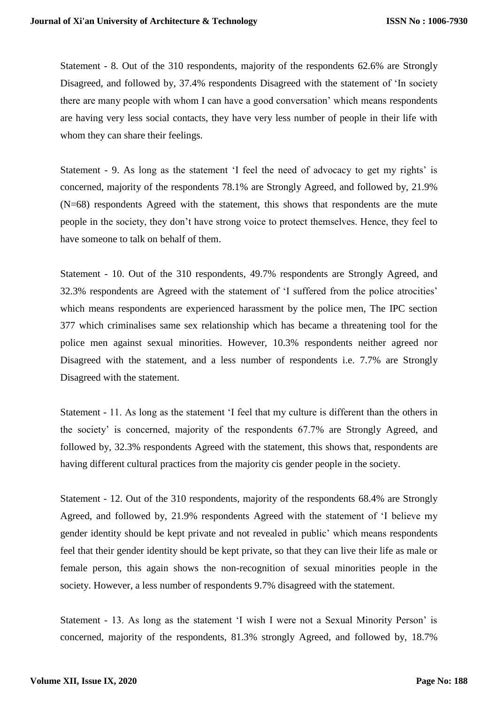Statement - 8. Out of the 310 respondents, majority of the respondents 62.6% are Strongly Disagreed, and followed by, 37.4% respondents Disagreed with the statement of 'In society there are many people with whom I can have a good conversation' which means respondents are having very less social contacts, they have very less number of people in their life with whom they can share their feelings.

Statement - 9. As long as the statement 'I feel the need of advocacy to get my rights' is concerned, majority of the respondents 78.1% are Strongly Agreed, and followed by, 21.9% (N=68) respondents Agreed with the statement, this shows that respondents are the mute people in the society, they don't have strong voice to protect themselves. Hence, they feel to have someone to talk on behalf of them.

Statement - 10. Out of the 310 respondents, 49.7% respondents are Strongly Agreed, and 32.3% respondents are Agreed with the statement of 'I suffered from the police atrocities' which means respondents are experienced harassment by the police men, The IPC section 377 which criminalises same sex relationship which has became a threatening tool for the police men against sexual minorities. However, 10.3% respondents neither agreed nor Disagreed with the statement, and a less number of respondents i.e. 7.7% are Strongly Disagreed with the statement.

Statement - 11. As long as the statement 'I feel that my culture is different than the others in the society' is concerned, majority of the respondents 67.7% are Strongly Agreed, and followed by, 32.3% respondents Agreed with the statement, this shows that, respondents are having different cultural practices from the majority cis gender people in the society.

Statement - 12. Out of the 310 respondents, majority of the respondents 68.4% are Strongly Agreed, and followed by, 21.9% respondents Agreed with the statement of 'I believe my gender identity should be kept private and not revealed in public' which means respondents feel that their gender identity should be kept private, so that they can live their life as male or female person, this again shows the non-recognition of sexual minorities people in the society. However, a less number of respondents 9.7% disagreed with the statement.

Statement - 13. As long as the statement 'I wish I were not a Sexual Minority Person' is concerned, majority of the respondents, 81.3% strongly Agreed, and followed by, 18.7%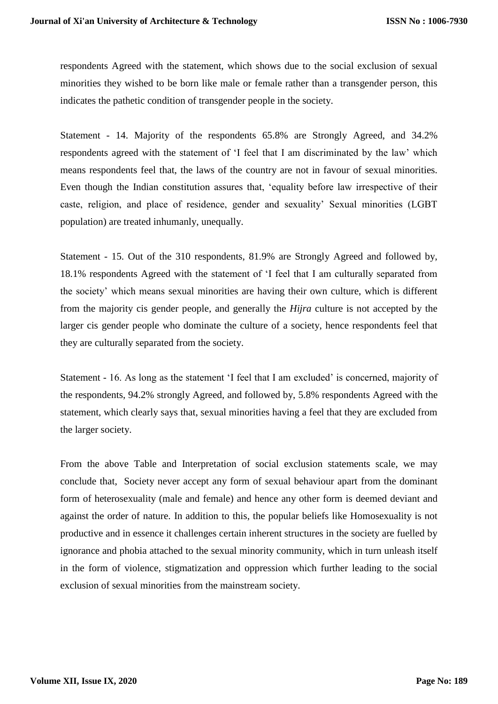respondents Agreed with the statement, which shows due to the social exclusion of sexual minorities they wished to be born like male or female rather than a transgender person, this indicates the pathetic condition of transgender people in the society.

Statement - 14. Majority of the respondents 65.8% are Strongly Agreed, and 34.2% respondents agreed with the statement of 'I feel that I am discriminated by the law' which means respondents feel that, the laws of the country are not in favour of sexual minorities. Even though the Indian constitution assures that, 'equality before law irrespective of their caste, religion, and place of residence, gender and sexuality' Sexual minorities (LGBT population) are treated inhumanly, unequally.

Statement - 15. Out of the 310 respondents, 81.9% are Strongly Agreed and followed by, 18.1% respondents Agreed with the statement of 'I feel that I am culturally separated from the society' which means sexual minorities are having their own culture, which is different from the majority cis gender people, and generally the *Hijra* culture is not accepted by the larger cis gender people who dominate the culture of a society, hence respondents feel that they are culturally separated from the society.

Statement - 16. As long as the statement 'I feel that I am excluded' is concerned, majority of the respondents, 94.2% strongly Agreed, and followed by, 5.8% respondents Agreed with the statement, which clearly says that, sexual minorities having a feel that they are excluded from the larger society.

From the above Table and Interpretation of social exclusion statements scale, we may conclude that, Society never accept any form of sexual behaviour apart from the dominant form of heterosexuality (male and female) and hence any other form is deemed deviant and against the order of nature. In addition to this, the popular beliefs like Homosexuality is not productive and in essence it challenges certain inherent structures in the society are fuelled by ignorance and phobia attached to the sexual minority community, which in turn unleash itself in the form of violence, stigmatization and oppression which further leading to the social exclusion of sexual minorities from the mainstream society.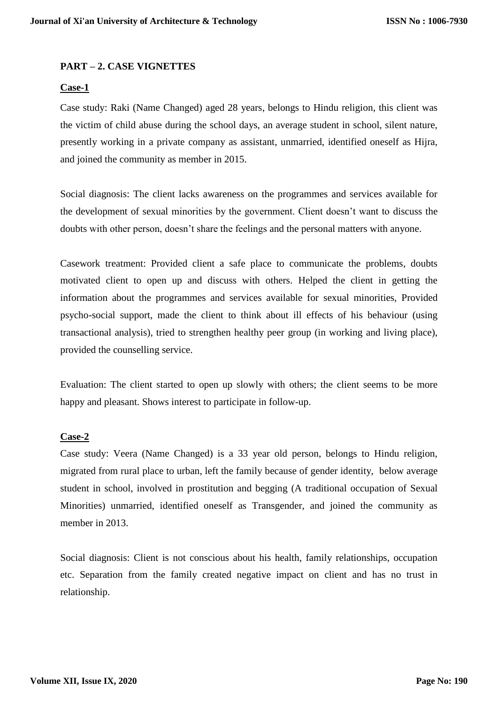### **PART – 2. CASE VIGNETTES**

#### **Case-1**

Case study: Raki (Name Changed) aged 28 years, belongs to Hindu religion, this client was the victim of child abuse during the school days, an average student in school, silent nature, presently working in a private company as assistant, unmarried, identified oneself as Hijra, and joined the community as member in 2015.

Social diagnosis: The client lacks awareness on the programmes and services available for the development of sexual minorities by the government. Client doesn't want to discuss the doubts with other person, doesn't share the feelings and the personal matters with anyone.

Casework treatment: Provided client a safe place to communicate the problems, doubts motivated client to open up and discuss with others. Helped the client in getting the information about the programmes and services available for sexual minorities, Provided psycho-social support, made the client to think about ill effects of his behaviour (using transactional analysis), tried to strengthen healthy peer group (in working and living place), provided the counselling service.

Evaluation: The client started to open up slowly with others; the client seems to be more happy and pleasant. Shows interest to participate in follow-up.

#### **Case-2**

Case study: Veera (Name Changed) is a 33 year old person, belongs to Hindu religion, migrated from rural place to urban, left the family because of gender identity, below average student in school, involved in prostitution and begging (A traditional occupation of Sexual Minorities) unmarried, identified oneself as Transgender, and joined the community as member in 2013.

Social diagnosis: Client is not conscious about his health, family relationships, occupation etc. Separation from the family created negative impact on client and has no trust in relationship.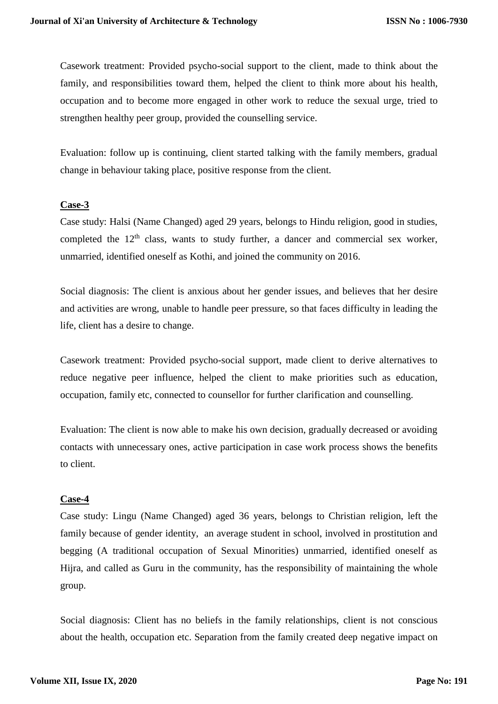Casework treatment: Provided psycho-social support to the client, made to think about the family, and responsibilities toward them, helped the client to think more about his health, occupation and to become more engaged in other work to reduce the sexual urge, tried to strengthen healthy peer group, provided the counselling service.

Evaluation: follow up is continuing, client started talking with the family members, gradual change in behaviour taking place, positive response from the client.

### **Case-3**

Case study: Halsi (Name Changed) aged 29 years, belongs to Hindu religion, good in studies, completed the  $12<sup>th</sup>$  class, wants to study further, a dancer and commercial sex worker, unmarried, identified oneself as Kothi, and joined the community on 2016.

Social diagnosis: The client is anxious about her gender issues, and believes that her desire and activities are wrong, unable to handle peer pressure, so that faces difficulty in leading the life, client has a desire to change.

Casework treatment: Provided psycho-social support, made client to derive alternatives to reduce negative peer influence, helped the client to make priorities such as education, occupation, family etc, connected to counsellor for further clarification and counselling.

Evaluation: The client is now able to make his own decision, gradually decreased or avoiding contacts with unnecessary ones, active participation in case work process shows the benefits to client.

### **Case-4**

Case study: Lingu (Name Changed) aged 36 years, belongs to Christian religion, left the family because of gender identity, an average student in school, involved in prostitution and begging (A traditional occupation of Sexual Minorities) unmarried, identified oneself as Hijra, and called as Guru in the community, has the responsibility of maintaining the whole group.

Social diagnosis: Client has no beliefs in the family relationships, client is not conscious about the health, occupation etc. Separation from the family created deep negative impact on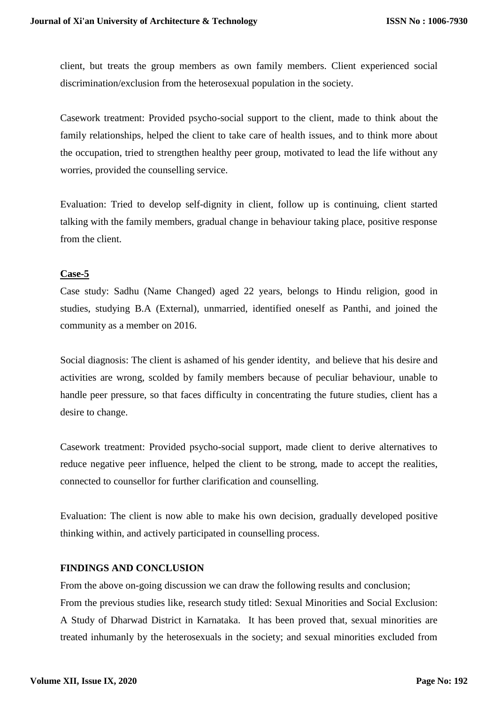client, but treats the group members as own family members. Client experienced social discrimination/exclusion from the heterosexual population in the society.

Casework treatment: Provided psycho-social support to the client, made to think about the family relationships, helped the client to take care of health issues, and to think more about the occupation, tried to strengthen healthy peer group, motivated to lead the life without any worries, provided the counselling service.

Evaluation: Tried to develop self-dignity in client, follow up is continuing, client started talking with the family members, gradual change in behaviour taking place, positive response from the client.

### **Case-5**

Case study: Sadhu (Name Changed) aged 22 years, belongs to Hindu religion, good in studies, studying B.A (External), unmarried, identified oneself as Panthi, and joined the community as a member on 2016.

Social diagnosis: The client is ashamed of his gender identity, and believe that his desire and activities are wrong, scolded by family members because of peculiar behaviour, unable to handle peer pressure, so that faces difficulty in concentrating the future studies, client has a desire to change.

Casework treatment: Provided psycho-social support, made client to derive alternatives to reduce negative peer influence, helped the client to be strong, made to accept the realities, connected to counsellor for further clarification and counselling.

Evaluation: The client is now able to make his own decision, gradually developed positive thinking within, and actively participated in counselling process.

# **FINDINGS AND CONCLUSION**

From the above on-going discussion we can draw the following results and conclusion; From the previous studies like, research study titled: Sexual Minorities and Social Exclusion: A Study of Dharwad District in Karnataka. It has been proved that, sexual minorities are treated inhumanly by the heterosexuals in the society; and sexual minorities excluded from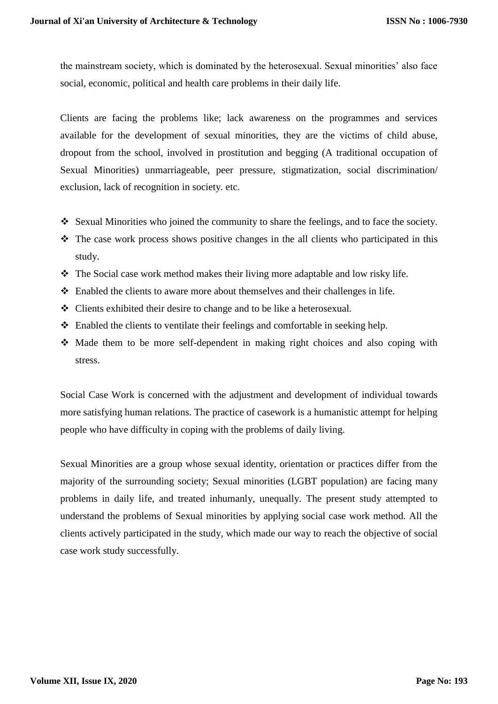the mainstream society, which is dominated by the heterosexual. Sexual minorities' also face social, economic, political and health care problems in their daily life.

Clients are facing the problems like; lack awareness on the programmes and services available for the development of sexual minorities, they are the victims of child abuse, dropout from the school, involved in prostitution and begging (A traditional occupation of Sexual Minorities) unmarriageable, peer pressure, stigmatization, social discrimination/ exclusion, lack of recognition in society. etc.

- Sexual Minorities who joined the community to share the feelings, and to face the society.
- $\hat{\mathbf{v}}$ . The case work process shows positive changes in the all clients who participated in this study.
- The Social case work method makes their living more adaptable and low risky life.
- Enabled the clients to aware more about themselves and their challenges in life.
- Clients exhibited their desire to change and to be like a heterosexual.
- $\triangleleft$  Enabled the clients to ventilate their feelings and comfortable in seeking help.
- Made them to be more self-dependent in making right choices and also coping with stress.

Social Case Work is concerned with the adjustment and development of individual towards more satisfying human relations. The practice of casework is a humanistic attempt for helping people who have difficulty in coping with the problems of daily living.

Sexual Minorities are a group whose sexual identity, orientation or practices differ from the majority of the surrounding society; Sexual minorities (LGBT population) are facing many problems in daily life, and treated inhumanly, unequally. The present study attempted to understand the problems of Sexual minorities by applying social case work method. All the clients actively participated in the study, which made our way to reach the objective of social case work study successfully.